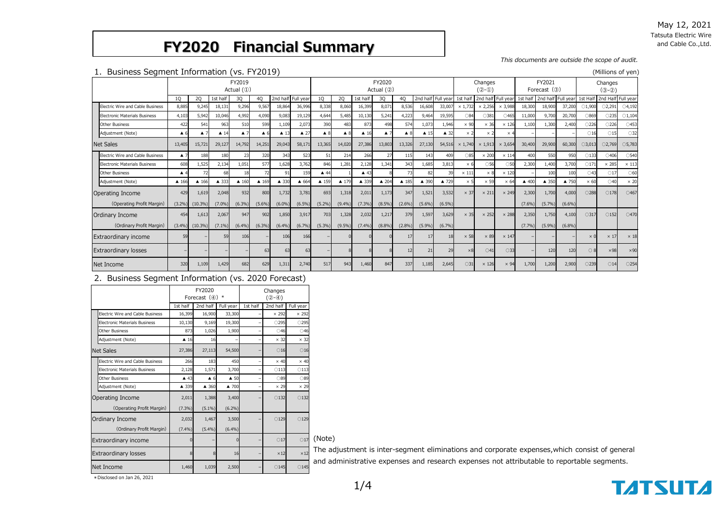May 12, 2021 Tatsuta Electric Wire and Cable Co.,Ltd.

## **FY2020 Financial Summary**

*This documents are outside the scope of audit.*

#### 1.Business Segment Information (vs. FY2019) (Millions of yen)

| <b>Dasiness Segment Impiriation (vs. 112017)</b> |                        |                    |                     |                    |                    |                        |                |                     |                    |                |                    |                    |                     |                          |               |                    |                |                             |                             |           |                  |                    |                  |
|--------------------------------------------------|------------------------|--------------------|---------------------|--------------------|--------------------|------------------------|----------------|---------------------|--------------------|----------------|--------------------|--------------------|---------------------|--------------------------|---------------|--------------------|----------------|-----------------------------|-----------------------------|-----------|------------------|--------------------|------------------|
|                                                  | FY2019<br>Actual $(①)$ |                    |                     |                    |                    | FY2020<br>Actual $(2)$ |                |                     |                    |                |                    | Changes<br>$(2-0)$ |                     | FY2021<br>Forecast $(3)$ |               | Changes<br>$(3-2)$ |                |                             |                             |           |                  |                    |                  |
|                                                  | <b>10</b>              | 20                 | 1st half            | 30                 | 40                 | 2nd half Full vear     |                | 10                  | 20                 | 1st half       | 30                 | 40                 | 2nd half Full year  |                          | 1st half      |                    |                | 2nd half Full year 1st half | 2nd half Full year 1st Half |           |                  | 2nd Half Full year |                  |
| Electric Wire and Cable Business                 | 8,885                  | 9,245              | 18,131              | 9,296              | 9,567              | 18,864                 | 36,996         | 8,338               | 8,060              | 16,399         | 8,071              | 8,536              | 16,608              | 33,007                   | × 1,732       | $\times$ 2,256     | $\times$ 3,988 | 18,300                      | 18,900                      | 37,200    | $\bigcirc$ 1,900 | O2,291             | $\bigcirc$ 4,192 |
| <b>Electronic Materials Business</b>             | 4,103                  | 5.942              | 10,046              | 4.992              | 4.090              | 9.083                  | 19.129         | 4.644               | 5,485              | 10.130         | 5,241              | 4.223              | 9.464               | 19.595                   | ○84           | ○381               | $\bigcirc$ 465 | 11,000                      | 9.700                       | 20,700    | ○869             | ○235               | $\bigcirc$ 1,104 |
| <b>Other Business</b>                            | 422                    | 541                | 963                 | 510                | 599                | 1,109                  | 2,073          | 390                 | 483                | 873            | 498                | 574                | 1,073               | 1,946                    | $\times$ 90   | $\times$ 36        | $\times$ 126   | 1,100                       | 1,300                       | 2,400     | ○226             | ○226               | $\bigcirc$ 453   |
| Adjustment (Note)                                | $\triangle$ 6          | $\blacktriangle$ 7 | $\blacktriangle$ 14 | $\blacktriangle$ 7 | $\blacktriangle$ ( | $\blacktriangle$ 13    | $\triangle$ 27 | $\blacktriangle$ 8  | $\blacktriangle$ 8 | $\triangle$ 16 | $\blacktriangle$ 7 | $\blacktriangle$ 8 | $\blacktriangle$ 15 | $\triangle$ 32           | $\times$ 2    | $\times 2$         | $\times$ 4     |                             |                             |           | $\bigcirc$ 16    | $\bigcirc$ 15      | $\bigcirc$ 32    |
| <b>Net Sales</b>                                 | 13,405                 | 15,721             | 29,127              | 14,792             | 14,251             | 29,043                 | 58,171         | 13,365              | 14,020             | 27,386         | 13,803             | 13,326             | 27,130              | 54,516                   | × 1,740       | $\times$ 1,913     | $\times$ 3.654 | 30,400                      | 29,900                      | 60,300    | $\bigcirc$ 3,013 | O2,769             | $O$ 5,783        |
| Electric Wire and Cable Business                 | $\blacktriangle$ 7     | 188                | 180                 |                    | 320                | 343                    | 523            | 51                  | 214                | 266            | 27                 | 115                | 143                 | 409                      | ○85           | $\times 200$       | $\times$ 114   | 400                         | 550                         | 950       | $\bigcirc$ 133   | ○406               | $\bigcirc$ 540   |
| Electronic Materials Business                    | 608                    | 1,525              | 2,134               | 1,051              | 577                | 1,628                  | 3.762          | 846                 | 1,281              | 2,128          | 1.341              | 343                | 1,685               | 3,813                    | $\times$ 6    | ○56                | $050$          | 2,300                       | 1,400                       | 3,700     | $\bigcirc$ 171   | $\times$ 285       | $\times$ 113     |
| <b>Other Business</b>                            | $\blacktriangle$ 4     | 72                 | 68                  |                    | 72                 | 91                     | 159            | $\blacktriangle$ 44 |                    | $\triangle$ 43 |                    | 73                 | 82                  |                          | $\times$ 111  | $\times 8$         | $\times$ 120   |                             | 100                         | 100       | ○43              | $\bigcirc$ 17      | $\bigcirc$ 60    |
| Adjustment (Note)                                | ▲ 166                  | ▲ 166              | ▲ 333               | $\triangle$ 160    | $\triangle$ 169    | ▲ 330                  | ▲ 664          | ▲ 159               | ▲ 179              | ▲ 339          | ▲ 204              | ▲ 185              | ▲ 390               | ▲ 729                    | $\times$ 5    | $\times$ 59        | $\times 64$    | $\triangle$ 400             | ▲ 350                       | ▲ 750     | $\times 60$      | $\bigcirc$ 40      | $\times 20$      |
| Operating Income                                 | 429                    | 1,619              | 2,048               | 932                | 800                | 1,732                  | 3,781          | 693                 | 1,318              | 2,011          | 1,173              | 347                | 1,521               | 3,532                    | $\times$ 37   | $\times$ 211       | $\times$ 249   | 2,300                       | 1,700                       | 4,000     | ○288             | $\bigcirc$ 178     | $\bigcirc$ 467   |
| (Operating Profit Margin)                        | $(3.2\%)$              | $(10.3\%)$         | $(7.0\%)$           | (6.3%)             | $(5.6\%)$          | (6.0%                  | $(6.5\%)$      | $(5.2\%)$           | $(9.4\%)$          | (7.3%          | $(8.5\%)$          | $(2.6\%)$          | (5.6%)              | $(6.5\%)$                |               |                    |                | (7.6%)                      | (5.7%)                      | $(6.6\%)$ |                  |                    |                  |
| Ordinary Income                                  | 454                    | 1,613              | 2,067               | 947                | 902                | 1,850                  | 3,917          | 703                 | 1,328              | 2,032          | 1,217              | 379                | 1,597               | 3,629                    | $\times$ 35   | $\times$ 252       | $\times$ 288   | 2,350                       | 1,750                       | 4,100     | $\bigcirc$ 317   | $\bigcirc$ 152     | $\bigcirc$ 470   |
| (Ordinary Profit Margin)                         | $(3.4\%)$              | $(10.3\%)$         | $(7.1\%)$           | $(6.4\%)$          | (6.3%)             | (6.4%)                 | (6.7%)         | $(5.3\%)$           | $(9.5\%)$          | (7.4%)         | (8.8%)             | $(2.8\%)$          | (5.9%)              | (6.7%)                   |               |                    |                | (7.7%)                      | (5.9%)                      | (6.8%)    |                  |                    |                  |
| <b>Extraordinary income</b>                      | 59                     |                    | 59                  | 106                |                    | 106                    | 166            |                     |                    |                |                    | 17                 | 17                  |                          | $\times$ 58   | $\times 89$        | $\times$ 147   |                             |                             |           | $\times 0$       | $\times$ 17        | $\times$ 18      |
| <b>Extraordinary losses</b>                      |                        |                    |                     |                    | 63                 | 63                     | 63             |                     |                    |                |                    | 12                 | 21                  | 29                       | $\times 8$    | $\bigcirc$ 41      | $\bigcirc$ 33  |                             | 120                         | 120       | $\bigcirc$ 8     | $\times$ 98        | $\times$ 90      |
| Net Income                                       | 320                    | 1,109              | 1,429               | 682                | 629                | 1,311                  | 2,740          | 517                 | 943                | 1,460          | 847                | 337                | 1,185               | 2,645                    | $\bigcirc$ 31 | $\times$ 126       | $\times$ 94    | 1,700                       | 1,200                       | 2,900     | O239             | $\bigcirc$ 14      | O254             |

2. Business Segment Information (vs. 2020 Forecast)

|                                         |                     | FY2020<br>Forecast $(4)$ * |                     |          | Changes<br>$(Q - \oplus)$ |                |        |
|-----------------------------------------|---------------------|----------------------------|---------------------|----------|---------------------------|----------------|--------|
|                                         | 1st half            | 2nd half                   | Full year           | 1st half | 2nd half                  | Full year      |        |
| Electric Wire and Cable Business        | 16,399              | 16,900                     | 33,300              |          | $\times$ 292              | $\times$ 292   |        |
| <b>Electronic Materials Business</b>    | 10,130              | 9,169                      | 19,300              |          | $\bigcirc$ 295            | ○295           |        |
| Other Business                          | 873                 | 1,026                      | 1,900               |          | $\bigcirc$ 46             | $\bigcirc$ 46  |        |
| Adjustment (Note)                       | $\blacktriangle$ 16 | 16                         |                     |          | $\times$ 32               | $\times$ 32    |        |
| <b>Net Sales</b>                        | 27,386              | 27,113                     | 54,500              |          | $\bigcirc$ 16             | $\bigcirc$ 16  |        |
| <b>Flectric Wire and Cable Business</b> | 266                 | 183                        | 450                 |          | $\times$ 40               | $\times$ 40    |        |
| <b>Electronic Materials Business</b>    | 2,128               | 1,571                      | 3,700               |          | $\bigcirc$ 113            | $\bigcirc$ 113 |        |
| Other Business                          | $\triangle$ 43      | $\triangle$ 6              | $\blacktriangle$ 50 |          | ○89                       | ○89            |        |
| Adjustment (Note)                       | ▲ 339               | ▲ 360                      | ▲ 700               |          | $\times$ 29               | $\times$ 29    |        |
| Operating Income                        | 2,011               | 1,388                      | 3,400               |          | $\bigcirc$ 132            | $\bigcirc$ 132 |        |
| (Operating Profit Margin)               | $(7.3\%)$           | $(5.1\%)$                  | $(6.2\%)$           |          |                           |                |        |
| Ordinary Income                         | 2,032               | 1,467                      | 3,500               |          | $\bigcirc$ 129            | $\bigcirc$ 129 |        |
| (Ordinary Profit Margin)                | (7.4%)              | (5.4%)                     | (6.4%)              |          |                           |                |        |
| Extraordinary income                    | n                   |                            |                     |          | $\bigcirc$ 17             | $\bigcirc$ 17  | (Note) |
| <b>Extraordinary losses</b>             | 8                   | 8                          | 16                  |          | $\times 12$               | $\times 12$    | The ac |
| Net Income                              | 1,460               | 1,039                      | 2,500               |          | $\bigcirc$ 145            | $\bigcirc$ 145 | and ac |

The adjustment is inter-segment eliminations and corporate expenses,which consist of general

and administrative expenses and research expenses not attributable to reportable segments.



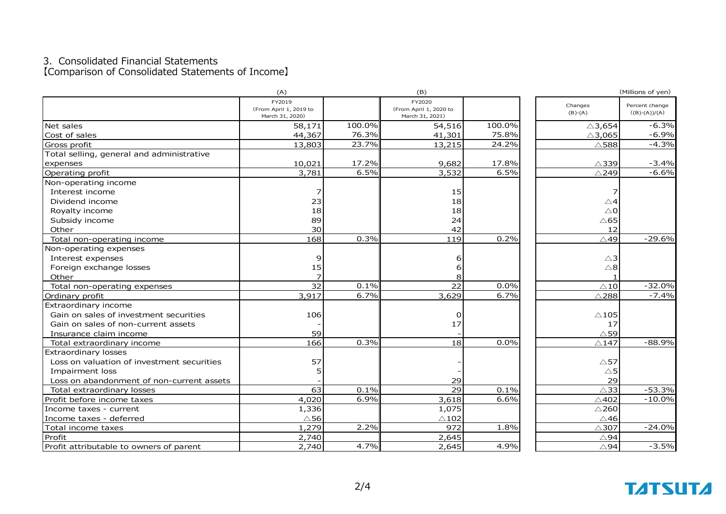#### 3.Consolidated Financial Statements 【Comparison of Consolidated Statements of Income】

|                                            | (A)                                       |        | (B)                                       |        |                   | (Millions of yen) |
|--------------------------------------------|-------------------------------------------|--------|-------------------------------------------|--------|-------------------|-------------------|
|                                            | FY2019                                    |        | FY2020                                    |        | Changes           | Percent change    |
|                                            | (From April 1, 2019 to<br>March 31, 2020) |        | (From April 1, 2020 to<br>March 31, 2021) |        | $(B)-(A)$         | $((B)-(A))/(A)$   |
| Net sales                                  | 58,171                                    | 100.0% | 54,516                                    | 100.0% | $\triangle$ 3,654 | $-6.3%$           |
| Cost of sales                              | 44,367                                    | 76.3%  | 41,301                                    | 75.8%  | $\triangle$ 3,065 | $-6.9%$           |
| Gross profit                               | 13,803                                    | 23.7%  | 13,215                                    | 24.2%  | $\triangle$ 588   | $-4.3%$           |
| Total selling, general and administrative  |                                           |        |                                           |        |                   |                   |
| expenses                                   | 10,021                                    | 17.2%  | 9,682                                     | 17.8%  | $\triangle$ 339   | $-3.4%$           |
| Operating profit                           | 3,781                                     | 6.5%   | 3,532                                     | 6.5%   | $\triangle$ 249   | $-6.6%$           |
| Non-operating income                       |                                           |        |                                           |        |                   |                   |
| Interest income                            | 7                                         |        | 15                                        |        |                   |                   |
| Dividend income                            | 23                                        |        | 18                                        |        | △4                |                   |
| Royalty income                             | 18                                        |        | 18                                        |        | $\triangle$ 0     |                   |
| Subsidy income                             | 89                                        |        | 24                                        |        | $\triangle$ 65    |                   |
| Other                                      | 30 <sup>1</sup>                           |        | 42                                        |        | 12                |                   |
| Total non-operating income                 | 168                                       | 0.3%   | 119                                       | 0.2%   | △49               | $-29.6%$          |
| Non-operating expenses                     |                                           |        |                                           |        |                   |                   |
| Interest expenses                          | 9                                         |        | 6                                         |        | $\triangle$ 3     |                   |
| Foreign exchange losses                    | 15                                        |        | 6                                         |        | $\triangle 8$     |                   |
| Other                                      | $\overline{z}$                            |        | 8                                         |        |                   |                   |
| Total non-operating expenses               | $\overline{32}$                           | 0.1%   | 22                                        | 0.0%   | $\triangle$ 10    | $-32.0%$          |
| Ordinary profit                            | 3,917                                     | 6.7%   | 3,629                                     | 6.7%   | $\triangle$ 288   | $-7.4%$           |
| Extraordinary income                       |                                           |        |                                           |        |                   |                   |
| Gain on sales of investment securities     | 106                                       |        | O                                         |        | $\triangle$ 105   |                   |
| Gain on sales of non-current assets        |                                           |        | 17                                        |        | 17                |                   |
| Insurance claim income                     | 59                                        |        |                                           |        | $\triangle$ 59    |                   |
| Total extraordinary income                 | 166                                       | 0.3%   | 18                                        | 0.0%   | $\triangle$ 147   | $-88.9%$          |
| <b>Extraordinary losses</b>                |                                           |        |                                           |        |                   |                   |
| Loss on valuation of investment securities | 57                                        |        |                                           |        | $\triangle$ 57    |                   |
| Impairment loss                            | 5                                         |        |                                           |        | $\triangle$ 5     |                   |
| Loss on abandonment of non-current assets  |                                           |        | 29                                        |        | 29                |                   |
| Total extraordinary losses                 | 63                                        | 0.1%   | 29                                        | 0.1%   | $\wedge$ 33       | $-53.3%$          |
| Profit before income taxes                 | 4,020                                     | 6.9%   | 3,618                                     | 6.6%   | $\triangle$ 402   | $-10.0%$          |
| Income taxes - current                     | 1,336                                     |        | 1,075                                     |        | $\triangle$ 260   |                   |
| Income taxes - deferred                    | $\triangle$ 56                            |        | $\triangle$ 102                           |        | $\triangle$ 46    |                   |
| Total income taxes                         | 1,279                                     | 2.2%   | 972                                       | 1.8%   | $\triangle$ 307   | $-24.0%$          |
| Profit                                     | 2,740                                     |        | 2,645                                     |        | $\triangle$ 94    |                   |
| Profit attributable to owners of parent    | 2,740                                     | 4.7%   | 2,645                                     | 4.9%   | $\triangle$ 94    | $-3.5%$           |

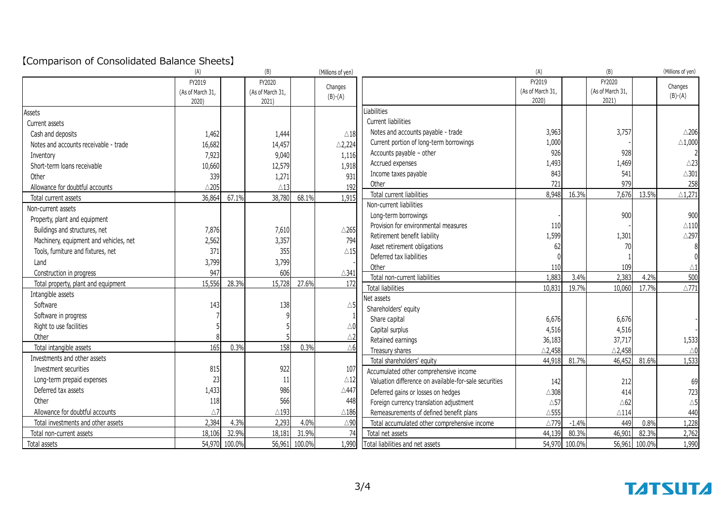### 【Comparison of Consolidated Balance Sheets】

|                                        | (A)              |        | (B)              |        | (Millions of yen) |                                                       | (A)               |         | (B)               |        | (Millions of yen)  |
|----------------------------------------|------------------|--------|------------------|--------|-------------------|-------------------------------------------------------|-------------------|---------|-------------------|--------|--------------------|
|                                        | FY2019           |        | FY2020           |        | Changes           |                                                       | FY2019            |         | FY2020            |        | Changes            |
|                                        | (As of March 31, |        | (As of March 31, |        | $(B)-(A)$         |                                                       | (As of March 31,  |         | (As of March 31,  |        | $(B)-(A)$          |
|                                        | 2020)            |        | 2021)            |        |                   |                                                       | 2020)             |         | 2021)             |        |                    |
| Assets                                 |                  |        |                  |        |                   | Liabilities                                           |                   |         |                   |        |                    |
| Current assets                         |                  |        |                  |        |                   | Current liabilities                                   |                   |         |                   |        |                    |
| Cash and deposits                      | 1,462            |        | 1,444            |        | $\triangle$ 18    | Notes and accounts payable - trade                    | 3,963             |         | 3,757             |        | $\triangle$ 206    |
| Notes and accounts receivable - trade  | 16,682           |        | 14,457           |        | $\triangle$ 2,224 | Current portion of long-term borrowings               | 1,000             |         |                   |        | $\triangle$ 1,000  |
| Inventory                              | 7,923            |        | 9,040            |        | 1,116             | Accounts payable - other                              | 926               |         | 928               |        |                    |
| Short-term loans receivable            | 10,660           |        | 12,579           |        | 1,918             | Accrued expenses                                      | 1,493             |         | 1,469             |        | $\triangle$ 23     |
| Other                                  | 339              |        | 1,271            |        | 931               | Income taxes payable                                  | 843               |         | 541               |        | $\triangle$ 301    |
| Allowance for doubtful accounts        | $\triangle$ 205  |        | $\wedge$ 13      |        | 192               | Other                                                 | 721               |         | 979               |        | 258                |
| Total current assets                   | 36,864           | 67.1%  | 38,780           | 68.1%  | 1,915             | Total current liabilities                             | 8,948             | 16.3%   | 7,676             | 13.5%  | $\triangle$ 1,271  |
| Non-current assets                     |                  |        |                  |        |                   | Non-current liabilities                               |                   |         |                   |        |                    |
| Property, plant and equipment          |                  |        |                  |        |                   | Long-term borrowings                                  |                   |         | 900               |        | 900                |
| Buildings and structures, net          | 7,876            |        | 7,610            |        | $\triangle$ 265   | Provision for environmental measures                  | 110               |         |                   |        | $\triangle$ 110    |
| Machinery, equipment and vehicles, net | 2,562            |        | 3,357            |        | 794               | Retirement benefit liability                          | 1,599             |         | 1,301             |        | $\triangle$ 297    |
| Tools, furniture and fixtures, net     | 371              |        | 355              |        | $\triangle$ 15    | Asset retirement obligations                          | 62                |         | 70                |        |                    |
| Land                                   | 3,799            |        | 3,799            |        |                   | Deferred tax liabilities                              |                   |         |                   |        |                    |
| Construction in progress               | 947              |        | 606              |        | $\triangle$ 341   | Other                                                 | 110               |         | 109               |        | $\triangle 1$      |
| Total property, plant and equipment    | 15,556           | 28.3%  | 15,728           | 27.6%  | 172               | Total non-current liabilities                         | 1,883             | 3.4%    | 2,383             | 4.2%   | 500                |
| Intangible assets                      |                  |        |                  |        |                   | Total liabilities                                     | 10,831            | 19.7%   | 10,060            | 17.7%  | $\triangle$ 771    |
| Software                               | 143              |        | 138              |        | $\triangle 5$     | Net assets                                            |                   |         |                   |        |                    |
| Software in progress                   |                  |        |                  |        |                   | Shareholders' equity                                  |                   |         |                   |        |                    |
| Right to use facilities                |                  |        |                  |        | $\triangle$ 0     | Share capital                                         | 6,676             |         | 6,676             |        |                    |
| Other                                  |                  |        |                  |        | $\triangle$ 2     | Capital surplus                                       | 4,516             |         | 4,516             |        |                    |
| Total intangible assets                | 165              | 0.3%   | 158              | 0.3%   | $\triangle 6$     | Retained earnings                                     | 36,183            |         | 37,717            |        | 1,533              |
| Investments and other assets           |                  |        |                  |        |                   | Treasury shares                                       | $\triangle$ 2,458 |         | $\triangle$ 2,458 |        | $\bigtriangleup$ 0 |
|                                        |                  |        | 922              |        |                   | Total shareholders' equity                            | 44,918            | 81.7%   | 46,452            | 81.6%  | 1,533              |
| Investment securities                  | 815              |        |                  |        | 107               | Accumulated other comprehensive income                |                   |         |                   |        |                    |
| Long-term prepaid expenses             | 23               |        | 11               |        | $\triangle 12$    | Valuation difference on available-for-sale securities | 142               |         | 212               |        | 69                 |
| Deferred tax assets                    | 1,433            |        | 986              |        | $\triangle$ 447   | Deferred gains or losses on hedges                    | $\triangle$ 308   |         | 414               |        | 723                |
| Other                                  | 118              |        | 566              |        | 448               | Foreign currency translation adjustment               | $\triangle 57$    |         | $\triangle 62$    |        | $\triangle 5$      |
| Allowance for doubtful accounts        | $\triangle$ 7    |        | $\triangle$ 193  |        | $\triangle$ 186   | Remeasurements of defined benefit plans               | $\triangle$ 555   |         | $\triangle$ 114   |        | 440                |
| Total investments and other assets     | 2,384            | 4.3%   | 2,293            | 4.0%   | $\triangle$ 90    | Total accumulated other comprehensive income          | $\triangle$ 779   | $-1.4%$ | 449               | 0.8%   | 1,228              |
| Total non-current assets               | 18,106           | 32.9%  | 18,181           | 31.9%  | 74                | Total net assets                                      | 44,139            | 80.3%   | 46,901            | 82.3%  | 2,762              |
| Total assets                           | 54,970           | 100.0% | 56,961           | 100.0% | 1,990             | Total liabilities and net assets                      | 54,970            | 100.0%  | 56,961            | 100.0% | 1,990              |

# **TATSUTA**